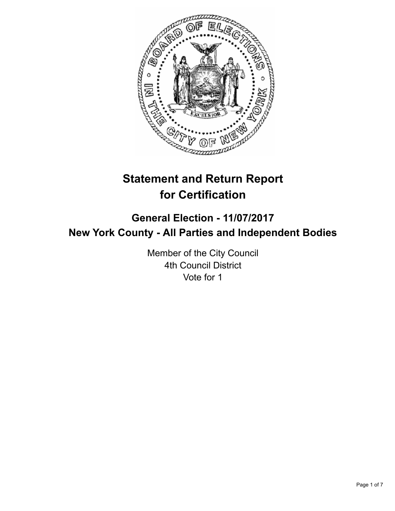

# **Statement and Return Report for Certification**

## **General Election - 11/07/2017 New York County - All Parties and Independent Bodies**

Member of the City Council 4th Council District Vote for 1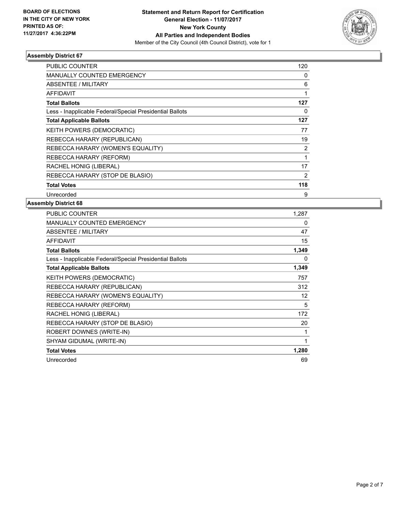

| <b>PUBLIC COUNTER</b>                                    | 120            |
|----------------------------------------------------------|----------------|
| <b>MANUALLY COUNTED EMERGENCY</b>                        | 0              |
| ABSENTEE / MILITARY                                      | 6              |
| <b>AFFIDAVIT</b>                                         |                |
| <b>Total Ballots</b>                                     | 127            |
| Less - Inapplicable Federal/Special Presidential Ballots | 0              |
| <b>Total Applicable Ballots</b>                          | 127            |
| KEITH POWERS (DEMOCRATIC)                                | 77             |
| REBECCA HARARY (REPUBLICAN)                              | 19             |
| REBECCA HARARY (WOMEN'S EQUALITY)                        | 2              |
| REBECCA HARARY (REFORM)                                  |                |
| RACHEL HONIG (LIBERAL)                                   | 17             |
| REBECCA HARARY (STOP DE BLASIO)                          | $\overline{2}$ |
| <b>Total Votes</b>                                       | 118            |
| Unrecorded                                               | 9              |

| PUBLIC COUNTER                                           | 1,287 |
|----------------------------------------------------------|-------|
| <b>MANUALLY COUNTED EMERGENCY</b>                        | 0     |
| ABSENTEE / MILITARY                                      | 47    |
| <b>AFFIDAVIT</b>                                         | 15    |
| <b>Total Ballots</b>                                     | 1,349 |
| Less - Inapplicable Federal/Special Presidential Ballots | 0     |
| <b>Total Applicable Ballots</b>                          | 1,349 |
| KEITH POWERS (DEMOCRATIC)                                | 757   |
| REBECCA HARARY (REPUBLICAN)                              | 312   |
| REBECCA HARARY (WOMEN'S EQUALITY)                        | 12    |
| REBECCA HARARY (REFORM)                                  | 5     |
| RACHEL HONIG (LIBERAL)                                   | 172   |
| REBECCA HARARY (STOP DE BLASIO)                          | 20    |
| ROBERT DOWNES (WRITE-IN)                                 | 1     |
| SHYAM GIDUMAL (WRITE-IN)                                 | 1     |
| <b>Total Votes</b>                                       | 1,280 |
| Unrecorded                                               | 69    |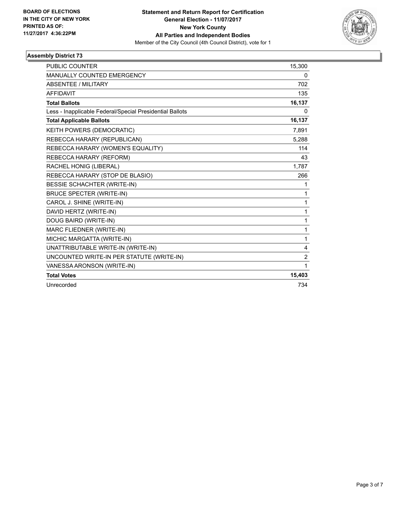

| <b>PUBLIC COUNTER</b>                                    | 15,300         |
|----------------------------------------------------------|----------------|
| MANUALLY COUNTED EMERGENCY                               | 0              |
| <b>ABSENTEE / MILITARY</b>                               | 702            |
| <b>AFFIDAVIT</b>                                         | 135            |
| <b>Total Ballots</b>                                     | 16,137         |
| Less - Inapplicable Federal/Special Presidential Ballots | 0              |
| <b>Total Applicable Ballots</b>                          | 16,137         |
| KEITH POWERS (DEMOCRATIC)                                | 7,891          |
| REBECCA HARARY (REPUBLICAN)                              | 5,288          |
| REBECCA HARARY (WOMEN'S EQUALITY)                        | 114            |
| REBECCA HARARY (REFORM)                                  | 43             |
| RACHEL HONIG (LIBERAL)                                   | 1.787          |
| REBECCA HARARY (STOP DE BLASIO)                          | 266            |
| <b>BESSIE SCHACHTER (WRITE-IN)</b>                       | 1              |
| <b>BRUCE SPECTER (WRITE-IN)</b>                          | 1              |
| CAROL J. SHINE (WRITE-IN)                                | 1              |
| DAVID HERTZ (WRITE-IN)                                   | 1              |
| DOUG BAIRD (WRITE-IN)                                    | 1              |
| MARC FLIEDNER (WRITE-IN)                                 | 1              |
| MICHIC MARGATTA (WRITE-IN)                               | 1              |
| UNATTRIBUTABLE WRITE-IN (WRITE-IN)                       | 4              |
| UNCOUNTED WRITE-IN PER STATUTE (WRITE-IN)                | $\overline{2}$ |
| VANESSA ARONSON (WRITE-IN)                               | 1              |
| <b>Total Votes</b>                                       | 15,403         |
| Unrecorded                                               | 734            |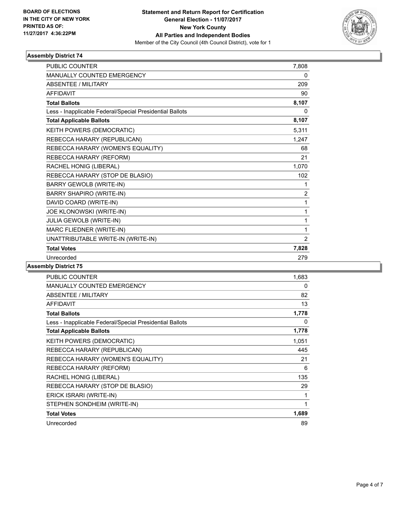

| <b>MANUALLY COUNTED EMERGENCY</b><br>0<br><b>ABSENTEE / MILITARY</b><br>209<br><b>AFFIDAVIT</b><br>90<br>8,107<br><b>Total Ballots</b><br>Less - Inapplicable Federal/Special Presidential Ballots<br>0<br>8,107<br><b>Total Applicable Ballots</b><br>KEITH POWERS (DEMOCRATIC)<br>5,311<br>REBECCA HARARY (REPUBLICAN)<br>1,247<br>REBECCA HARARY (WOMEN'S EQUALITY)<br>68<br>REBECCA HARARY (REFORM)<br>21<br>RACHEL HONIG (LIBERAL)<br>1,070<br>REBECCA HARARY (STOP DE BLASIO)<br>102<br><b>BARRY GEWOLB (WRITE-IN)</b><br>1<br><b>BARRY SHAPIRO (WRITE-IN)</b><br>$\overline{2}$<br>DAVID COARD (WRITE-IN)<br>1<br>JOE KLONOWSKI (WRITE-IN)<br>$\mathbf{1}$<br>JULIA GEWOLB (WRITE-IN)<br>1<br>MARC FLIEDNER (WRITE-IN)<br>1<br>UNATTRIBUTABLE WRITE-IN (WRITE-IN)<br>2<br><b>Total Votes</b><br>7,828 | <b>PUBLIC COUNTER</b> | 7,808 |
|--------------------------------------------------------------------------------------------------------------------------------------------------------------------------------------------------------------------------------------------------------------------------------------------------------------------------------------------------------------------------------------------------------------------------------------------------------------------------------------------------------------------------------------------------------------------------------------------------------------------------------------------------------------------------------------------------------------------------------------------------------------------------------------------------------------|-----------------------|-------|
|                                                                                                                                                                                                                                                                                                                                                                                                                                                                                                                                                                                                                                                                                                                                                                                                              |                       |       |
|                                                                                                                                                                                                                                                                                                                                                                                                                                                                                                                                                                                                                                                                                                                                                                                                              |                       |       |
|                                                                                                                                                                                                                                                                                                                                                                                                                                                                                                                                                                                                                                                                                                                                                                                                              |                       |       |
|                                                                                                                                                                                                                                                                                                                                                                                                                                                                                                                                                                                                                                                                                                                                                                                                              |                       |       |
|                                                                                                                                                                                                                                                                                                                                                                                                                                                                                                                                                                                                                                                                                                                                                                                                              |                       |       |
|                                                                                                                                                                                                                                                                                                                                                                                                                                                                                                                                                                                                                                                                                                                                                                                                              |                       |       |
|                                                                                                                                                                                                                                                                                                                                                                                                                                                                                                                                                                                                                                                                                                                                                                                                              |                       |       |
|                                                                                                                                                                                                                                                                                                                                                                                                                                                                                                                                                                                                                                                                                                                                                                                                              |                       |       |
|                                                                                                                                                                                                                                                                                                                                                                                                                                                                                                                                                                                                                                                                                                                                                                                                              |                       |       |
|                                                                                                                                                                                                                                                                                                                                                                                                                                                                                                                                                                                                                                                                                                                                                                                                              |                       |       |
|                                                                                                                                                                                                                                                                                                                                                                                                                                                                                                                                                                                                                                                                                                                                                                                                              |                       |       |
|                                                                                                                                                                                                                                                                                                                                                                                                                                                                                                                                                                                                                                                                                                                                                                                                              |                       |       |
|                                                                                                                                                                                                                                                                                                                                                                                                                                                                                                                                                                                                                                                                                                                                                                                                              |                       |       |
|                                                                                                                                                                                                                                                                                                                                                                                                                                                                                                                                                                                                                                                                                                                                                                                                              |                       |       |
|                                                                                                                                                                                                                                                                                                                                                                                                                                                                                                                                                                                                                                                                                                                                                                                                              |                       |       |
|                                                                                                                                                                                                                                                                                                                                                                                                                                                                                                                                                                                                                                                                                                                                                                                                              |                       |       |
|                                                                                                                                                                                                                                                                                                                                                                                                                                                                                                                                                                                                                                                                                                                                                                                                              |                       |       |
|                                                                                                                                                                                                                                                                                                                                                                                                                                                                                                                                                                                                                                                                                                                                                                                                              |                       |       |
|                                                                                                                                                                                                                                                                                                                                                                                                                                                                                                                                                                                                                                                                                                                                                                                                              |                       |       |
|                                                                                                                                                                                                                                                                                                                                                                                                                                                                                                                                                                                                                                                                                                                                                                                                              |                       |       |
| Unrecorded<br>279                                                                                                                                                                                                                                                                                                                                                                                                                                                                                                                                                                                                                                                                                                                                                                                            |                       |       |

| <b>PUBLIC COUNTER</b>                                    | 1,683 |
|----------------------------------------------------------|-------|
| <b>MANUALLY COUNTED EMERGENCY</b>                        | 0     |
| <b>ABSENTEE / MILITARY</b>                               | 82    |
| <b>AFFIDAVIT</b>                                         | 13    |
| <b>Total Ballots</b>                                     | 1,778 |
| Less - Inapplicable Federal/Special Presidential Ballots | 0     |
| <b>Total Applicable Ballots</b>                          | 1,778 |
| KEITH POWERS (DEMOCRATIC)                                | 1,051 |
| REBECCA HARARY (REPUBLICAN)                              | 445   |
| REBECCA HARARY (WOMEN'S EQUALITY)                        | 21    |
| REBECCA HARARY (REFORM)                                  | 6     |
| RACHEL HONIG (LIBERAL)                                   | 135   |
| REBECCA HARARY (STOP DE BLASIO)                          | 29    |
| ERICK ISRARI (WRITE-IN)                                  | 1     |
| STEPHEN SONDHEIM (WRITE-IN)                              | 1     |
| <b>Total Votes</b>                                       | 1,689 |
| Unrecorded                                               | 89    |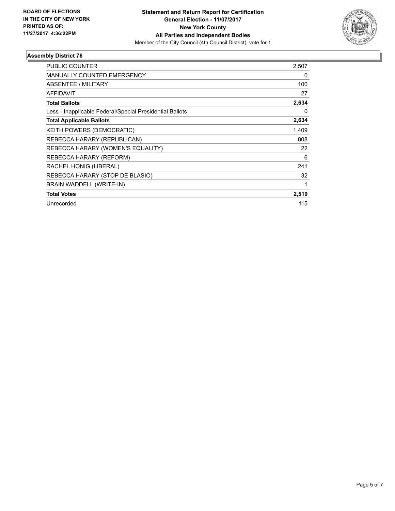

| <b>PUBLIC COUNTER</b>                                    | 2,507 |
|----------------------------------------------------------|-------|
| <b>MANUALLY COUNTED EMERGENCY</b>                        | 0     |
| ABSENTEE / MILITARY                                      | 100   |
| <b>AFFIDAVIT</b>                                         | 27    |
| <b>Total Ballots</b>                                     | 2,634 |
| Less - Inapplicable Federal/Special Presidential Ballots | 0     |
| <b>Total Applicable Ballots</b>                          | 2,634 |
| <b>KEITH POWERS (DEMOCRATIC)</b>                         | 1.409 |
| REBECCA HARARY (REPUBLICAN)                              | 808   |
| REBECCA HARARY (WOMEN'S EQUALITY)                        | 22    |
| REBECCA HARARY (REFORM)                                  | 6     |
| RACHEL HONIG (LIBERAL)                                   | 241   |
| REBECCA HARARY (STOP DE BLASIO)                          | 32    |
| BRAIN WADDELL (WRITE-IN)                                 |       |
| <b>Total Votes</b>                                       | 2,519 |
| Unrecorded                                               | 115   |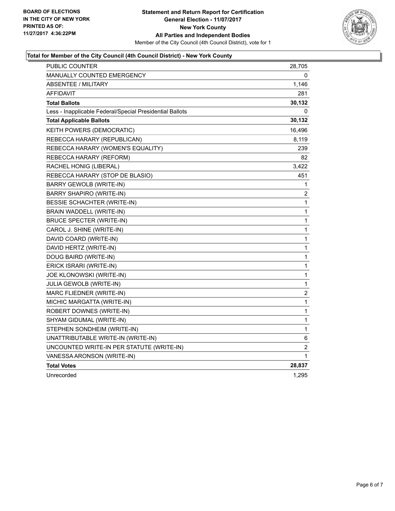

### **Total for Member of the City Council (4th Council District) - New York County**

| <b>PUBLIC COUNTER</b>                                    | 28,705      |
|----------------------------------------------------------|-------------|
| <b>MANUALLY COUNTED EMERGENCY</b>                        | 0           |
| <b>ABSENTEE / MILITARY</b>                               | 1,146       |
| <b>AFFIDAVIT</b>                                         | 281         |
| <b>Total Ballots</b>                                     | 30,132      |
| Less - Inapplicable Federal/Special Presidential Ballots | 0           |
| <b>Total Applicable Ballots</b>                          | 30,132      |
| KEITH POWERS (DEMOCRATIC)                                | 16,496      |
| REBECCA HARARY (REPUBLICAN)                              | 8,119       |
| REBECCA HARARY (WOMEN'S EQUALITY)                        | 239         |
| REBECCA HARARY (REFORM)                                  | 82          |
| RACHEL HONIG (LIBERAL)                                   | 3,422       |
| REBECCA HARARY (STOP DE BLASIO)                          | 451         |
| BARRY GEWOLB (WRITE-IN)                                  | 1           |
| <b>BARRY SHAPIRO (WRITE-IN)</b>                          | 2           |
| BESSIE SCHACHTER (WRITE-IN)                              | $\mathbf 1$ |
| BRAIN WADDELL (WRITE-IN)                                 | 1           |
| BRUCE SPECTER (WRITE-IN)                                 | 1           |
| CAROL J. SHINE (WRITE-IN)                                | 1           |
| DAVID COARD (WRITE-IN)                                   | $\mathbf 1$ |
| DAVID HERTZ (WRITE-IN)                                   | $\mathbf 1$ |
| DOUG BAIRD (WRITE-IN)                                    | $\mathbf 1$ |
| ERICK ISRARI (WRITE-IN)                                  | $\mathbf 1$ |
| JOE KLONOWSKI (WRITE-IN)                                 | 1           |
| JULIA GEWOLB (WRITE-IN)                                  | 1           |
| MARC FLIEDNER (WRITE-IN)                                 | 2           |
| MICHIC MARGATTA (WRITE-IN)                               | $\mathbf 1$ |
| ROBERT DOWNES (WRITE-IN)                                 | $\mathbf 1$ |
| SHYAM GIDUMAL (WRITE-IN)                                 | $\mathbf 1$ |
| STEPHEN SONDHEIM (WRITE-IN)                              | 1           |
| UNATTRIBUTABLE WRITE-IN (WRITE-IN)                       | 6           |
| UNCOUNTED WRITE-IN PER STATUTE (WRITE-IN)                | 2           |
| VANESSA ARONSON (WRITE-IN)                               | 1           |
| <b>Total Votes</b>                                       | 28,837      |
| Unrecorded                                               | 1,295       |